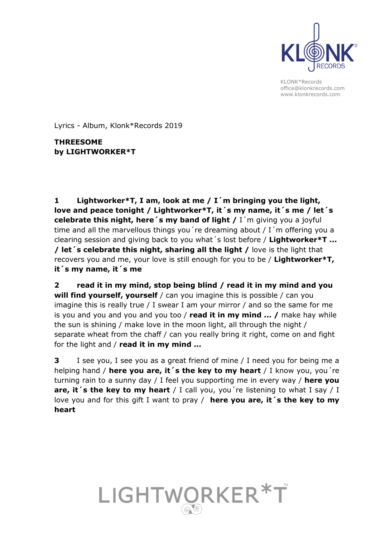

Lyrics - Album, Klonk\*Records 2019

**THREESOME by LIGHTWORKER\*T**

**1 Lightworker\*T, I am, look at me / I´m bringing you the light, love and peace tonight / Lightworker\*T, it´s my name, it´s me / let´s celebrate this night, here´s my band of light /** I´m giving you a joyful time and all the marvellous things you´re dreaming about / I´m offering you a clearing session and giving back to you what´s lost before / **Lightworker\*T ... / let´s celebrate this night, sharing all the light /** love is the light that recovers you and me, your love is still enough for you to be / **Lightworker\*T, it´s my name, it´s me** 

**2 read it in my mind, stop being blind / read it in my mind and you will find yourself, yourself** / can you imagine this is possible / can you imagine this is really true / I swear I am your mirror / and so the same for me is you and you and you and you too / **read it in my mind ... /** make hay while the sun is shining / make love in the moon light, all through the night / separate wheat from the chaff / can you really bring it right, come on and fight for the light and / **read it in my mind ...**

**3** I see you, I see you as a great friend of mine / I need you for being me a helping hand / **here you are, it´s the key to my heart** / I know you, you´re turning rain to a sunny day / I feel you supporting me in every way / **here you** are, it's the key to my heart / I call you, you're listening to what I say / I love you and for this gift I want to pray / **here you are, it´s the key to my heart**

## LIGHTWORKER\*T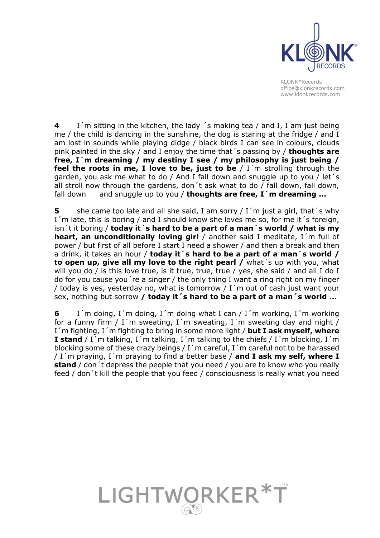

**4** I´m sitting in the kitchen, the lady ´s making tea / and I, I am just being me / the child is dancing in the sunshine, the dog is staring at the fridge / and I am lost in sounds while playing didge / black birds I can see in colours, clouds pink painted in the sky / and I enjoy the time that´s passing by / **thoughts are free, I´m dreaming / my destiny I see / my philosophy is just being / feel the roots in me, I love to be, just to be** / I´m strolling through the garden, you ask me what to do / And I fall down and snuggle up to you / let´s all stroll now through the gardens, don't ask what to do  $/$  fall down, fall down, fall down and snuggle up to you / **thoughts are free, I´m dreaming ...**

**5** she came too late and all she said, I am sorry / I'm just a girl, that's why I'm late, this is boring / and I should know she loves me so, for me it's foreign, isn´t it boring / **today it´s hard to be a part of a man´s world / what is my heart, an unconditionally loving girl** / another said I meditate, I´m full of power / but first of all before I start I need a shower / and then a break and then a drink, it takes an hour / **today it´s hard to be a part of a man´s world / to open up, give all my love to the right pearl /** what´s up with you, what will you do / is this love true, is it true, true, true / yes, she said / and all I do I do for you cause you´re a singer / the only thing I want a ring right on my finger / today is yes, yesterday no, what is tomorrow / I´m out of cash just want your sex, nothing but sorrow **/ today it´s hard to be a part of a man´s world ...**

**6** I´m doing, I´m doing, I´m doing what I can / I´m working, I´m working for a funny firm / I'm sweating, I'm sweating, I'm sweating day and night / I´m fighting, I´m fighting to bring in some more light / **but I ask myself, where I stand** / I´m talking, I´m talking, I´m talking to the chiefs / I´m blocking, I´m blocking some of these crazy beings / I´m careful, I´m careful not to be harassed / I´m praying, I´m praying to find a better base / **and I ask my self, where I stand** / don´t depress the people that you need / you are to know who you really feed / don´t kill the people that you feed / consciousness is really what you need

## LIGHTWORKER\*T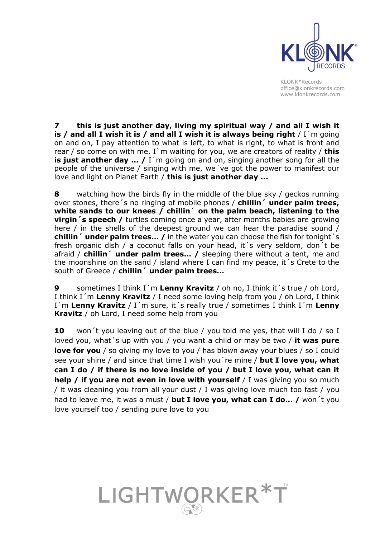

**7 this is just another day, living my spiritual way / and all I wish it is / and all I wish it is / and all I wish it is always being right** / I´m going on and on, I pay attention to what is left, to what is right, to what is front and rear / so come on with me, I`m waiting for you, we are creators of reality / **this is just another day ...** / I'm going on and on, singing another song for all the people of the universe / singing with me, we´ve got the power to manifest our love and light on Planet Earth / **this is just another day ...**

**8** watching how the birds fly in the middle of the blue sky / geckos running over stones, there´s no ringing of mobile phones / **chillin´ under palm trees, white sands to our knees / chillin´ on the palm beach, listening to the virgin** 's speech / turtles coming once a year, after months babies are growing here / in the shells of the deepest ground we can hear the paradise sound / **chillin´ under palm trees… /** in the water you can choose the fish for tonight´s fresh organic dish / a coconut falls on your head, it´s very seldom, don´t be afraid / **chillin´ under palm trees… /** sleeping there without a tent, me and the moonshine on the sand / island where I can find my peace, it´s Crete to the south of Greece / **chillin´ under palm trees…**

**9** sometimes I think I´m **Lenny Kravitz** / oh no, I think it´s true / oh Lord, I think I´m **Lenny Kravitz** / I need some loving help from you / oh Lord, I think I´m **Lenny Kravitz** / I´m sure, it´s really true / sometimes I think I´m **Lenny Kravitz** / oh Lord, I need some help from you

**10** won´t you leaving out of the blue / you told me yes, that will I do / so I loved you, what´s up with you / you want a child or may be two / **it was pure love for you** / so giving my love to you / has blown away your blues / so I could see your shine / and since that time I wish you´re mine / **but I love you, what can I do / if there is no love inside of you / but I love you, what can it help / if you are not even in love with yourself** / I was giving you so much / it was cleaning you from all your dust / I was giving love much too fast / you had to leave me, it was a must / **but I love you, what can I do... /** won´t you love yourself too / sending pure love to you

LIGHTWORKER\*T